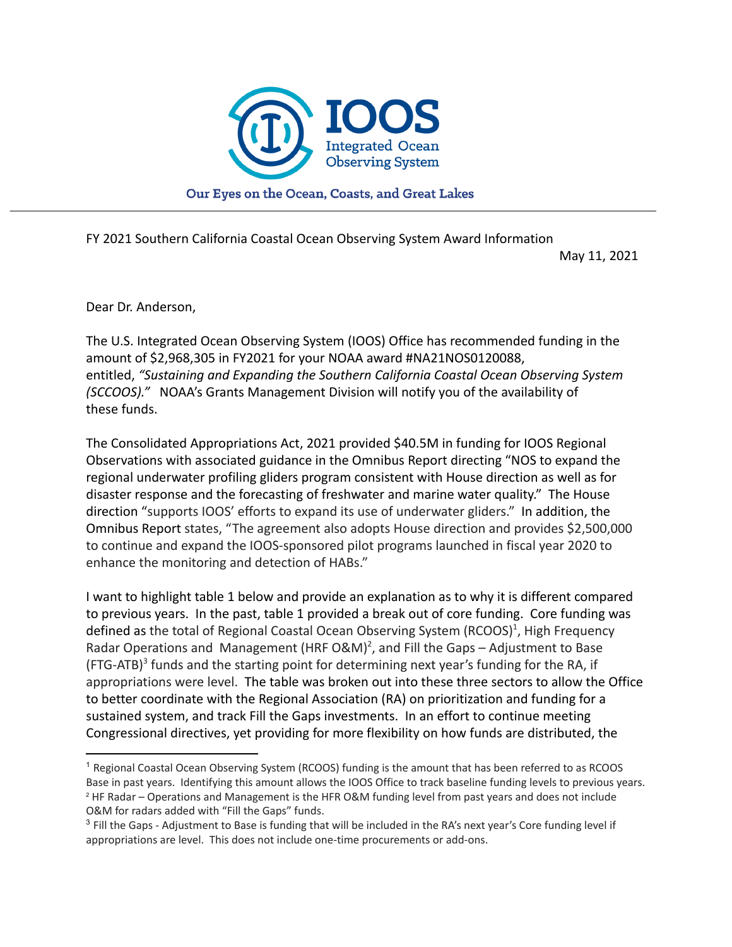

Our Eyes on the Ocean, Coasts, and Great Lakes

FY 2021 Southern California Coastal Ocean Observing System Award Information

May 11, 2021

Dear Dr. Anderson,

The U.S. Integrated Ocean Observing System (IOOS) Office has recommended funding in the amount of \$2,968,305 in FY2021 for your NOAA award #NA21NOS0120088, entitled, *"Sustaining and Expanding the Southern California Coastal Ocean Observing System (SCCOOS)."* NOAA's Grants Management Division will notify you of the availability of these funds.

The Consolidated Appropriations Act, 2021 provided \$40.5M in funding for IOOS Regional Observations with associated guidance in the Omnibus Report directing "NOS to expand the regional underwater profiling gliders program consistent with House direction as well as for disaster response and the forecasting of freshwater and marine water quality." The House direction "supports IOOS' efforts to expand its use of underwater gliders." In addition, the Omnibus Report states, "The agreement also adopts House direction and provides \$2,500,000 to continue and expand the IOOS-sponsored pilot programs launched in fiscal year 2020 to enhance the monitoring and detection of HABs."

I want to highlight table 1 below and provide an explanation as to why it is different compared to previous years. In the past, table 1 provided a break out of core funding. Core funding was defined as the total of Regional Coastal Ocean Observing System (RCOOS)<sup>1</sup>, High Frequency Radar Operations and Management (HRF O&M)<sup>2</sup>, and Fill the Gaps – Adjustment to Base (FTG-ATB)<sup>3</sup> funds and the starting point for determining next year's funding for the RA, if appropriations were level. The table was broken out into these three sectors to allow the Office to better coordinate with the Regional Association (RA) on prioritization and funding for a sustained system, and track Fill the Gaps investments. In an effort to continue meeting Congressional directives, yet providing for more flexibility on how funds are distributed, the

<sup>2</sup> HF Radar – Operations and Management is the HFR O&M funding level from past years and does not include O&M for radars added with "Fill the Gaps" funds. <sup>1</sup> Regional Coastal Ocean Observing System (RCOOS) funding is the amount that has been referred to as RCOOS Base in past years. Identifying this amount allows the IOOS Office to track baseline funding levels to previous years.

<sup>&</sup>lt;sup>3</sup> Fill the Gaps - Adjustment to Base is funding that will be included in the RA's next year's Core funding level if appropriations are level. This does not include one-time procurements or add-ons.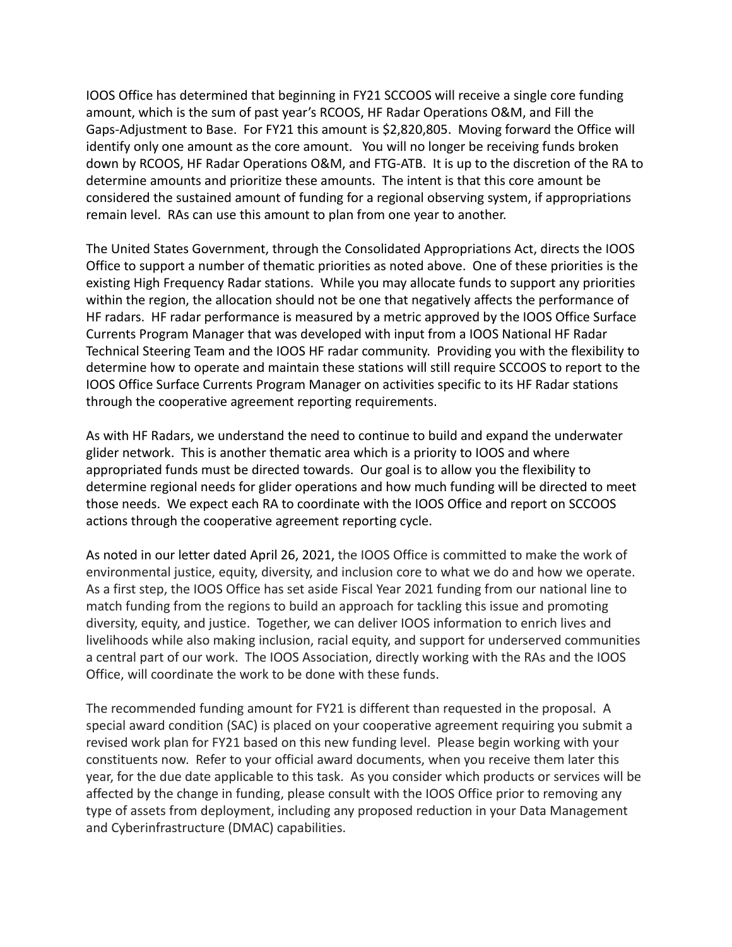IOOS Office has determined that beginning in FY21 SCCOOS will receive a single core funding amount, which is the sum of past year's RCOOS, HF Radar Operations O&M, and Fill the Gaps-Adjustment to Base. For FY21 this amount is \$2,820,805. Moving forward the Office will identify only one amount as the core amount. You will no longer be receiving funds broken down by RCOOS, HF Radar Operations O&M, and FTG-ATB. It is up to the discretion of the RA to determine amounts and prioritize these amounts. The intent is that this core amount be considered the sustained amount of funding for a regional observing system, if appropriations remain level. RAs can use this amount to plan from one year to another.

The United States Government, through the Consolidated Appropriations Act, directs the IOOS Office to support a number of thematic priorities as noted above. One of these priorities is the existing High Frequency Radar stations. While you may allocate funds to support any priorities within the region, the allocation should not be one that negatively affects the performance of HF radars. HF radar performance is measured by a metric approved by the IOOS Office Surface Currents Program Manager that was developed with input from a IOOS National HF Radar Technical Steering Team and the IOOS HF radar community. Providing you with the flexibility to determine how to operate and maintain these stations will still require SCCOOS to report to the IOOS Office Surface Currents Program Manager on activities specific to its HF Radar stations through the cooperative agreement reporting requirements.

As with HF Radars, we understand the need to continue to build and expand the underwater glider network. This is another thematic area which is a priority to IOOS and where appropriated funds must be directed towards. Our goal is to allow you the flexibility to determine regional needs for glider operations and how much funding will be directed to meet those needs. We expect each RA to coordinate with the IOOS Office and report on SCCOOS actions through the cooperative agreement reporting cycle.

As noted in our letter dated April 26, 2021, the IOOS Office is committed to make the work of environmental justice, equity, diversity, and inclusion core to what we do and how we operate. As a first step, the IOOS Office has set aside Fiscal Year 2021 funding from our national line to match funding from the regions to build an approach for tackling this issue and promoting diversity, equity, and justice. Together, we can deliver IOOS information to enrich lives and livelihoods while also making inclusion, racial equity, and support for underserved communities a central part of our work. The IOOS Association, directly working with the RAs and the IOOS Office, will coordinate the work to be done with these funds.

The recommended funding amount for FY21 is different than requested in the proposal. A special award condition (SAC) is placed on your cooperative agreement requiring you submit a revised work plan for FY21 based on this new funding level. Please begin working with your constituents now. Refer to your official award documents, when you receive them later this year, for the due date applicable to this task. As you consider which products or services will be affected by the change in funding, please consult with the IOOS Office prior to removing any type of assets from deployment, including any proposed reduction in your Data Management and Cyberinfrastructure (DMAC) capabilities.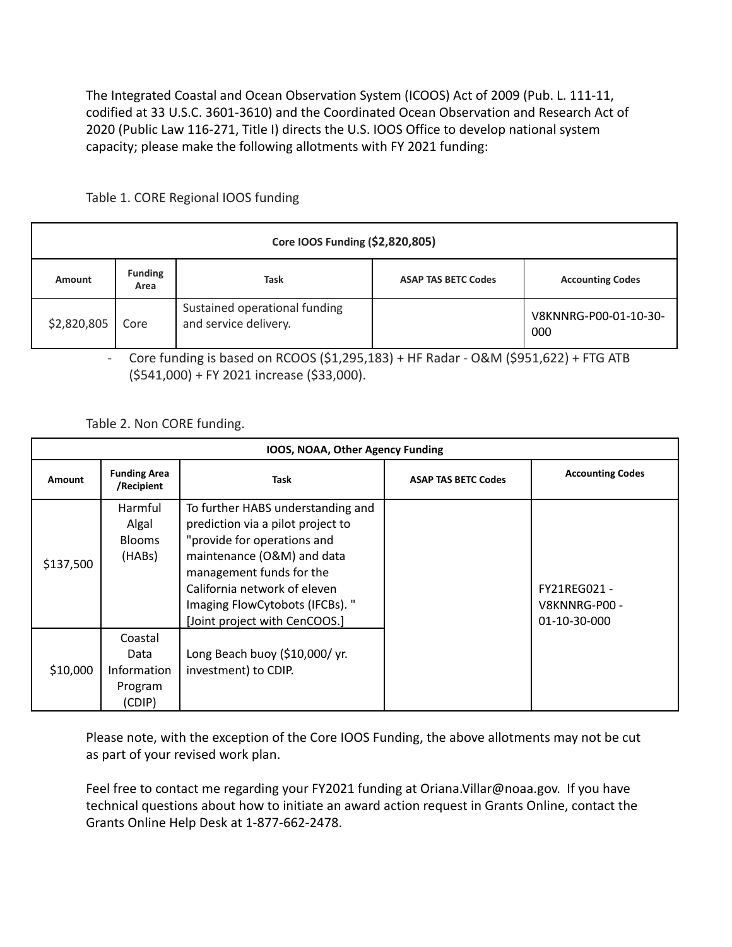The Integrated Coastal and Ocean Observation System (ICOOS) Act of 2009 (Pub. L. 111-11, codified at 33 U.S.C. 3601-3610) and the Coordinated Ocean Observation and Research Act of 2020 (Public Law 116-271, Title I) directs the U.S. IOOS Office to develop national system capacity; please make the following allotments with FY 2021 funding:

Table 1. CORE Regional IOOS funding

| Core IOOS Funding (\$2,820,805) |                        |                                                        |                            |                              |  |  |  |
|---------------------------------|------------------------|--------------------------------------------------------|----------------------------|------------------------------|--|--|--|
| Amount                          | <b>Funding</b><br>Area | Task                                                   | <b>ASAP TAS BETC Codes</b> | <b>Accounting Codes</b>      |  |  |  |
| \$2,820,805                     | Core                   | Sustained operational funding<br>and service delivery. |                            | V8KNNRG-P00-01-10-30-<br>000 |  |  |  |

- Core funding is based on RCOOS (\$1,295,183) + HF Radar - O&M (\$951,622) + FTG ATB (\$541,000) + FY 2021 increase (\$33,000).

Table 2. Non CORE funding.

| IOOS, NOAA, Other Agency Funding |                                                            |                                                                                                                                                                                                                                                                     |                            |                                               |  |  |  |
|----------------------------------|------------------------------------------------------------|---------------------------------------------------------------------------------------------------------------------------------------------------------------------------------------------------------------------------------------------------------------------|----------------------------|-----------------------------------------------|--|--|--|
| Amount                           | <b>Funding Area</b><br>/Recipient                          | Task                                                                                                                                                                                                                                                                | <b>ASAP TAS BETC Codes</b> | <b>Accounting Codes</b>                       |  |  |  |
| \$137,500                        | Harmful<br>Algal<br><b>Blooms</b><br>(HABs)                | To further HABS understanding and<br>prediction via a pilot project to<br>"provide for operations and<br>maintenance (O&M) and data<br>management funds for the<br>California network of eleven<br>Imaging FlowCytobots (IFCBs). "<br>[Joint project with CenCOOS.] |                            | FY21REG021 -<br>V8KNNRG-P00 -<br>01-10-30-000 |  |  |  |
| \$10,000                         | Coastal<br>Data<br><b>Information</b><br>Program<br>(CDIP) | Long Beach buoy (\$10,000/yr.<br>investment) to CDIP.                                                                                                                                                                                                               |                            |                                               |  |  |  |

Please note, with the exception of the Core IOOS Funding, the above allotments may not be cut as part of your revised work plan.

Feel free to contact me regarding your FY2021 funding at Oriana. Villar@noaa.gov. If you have technical questions about how to initiate an award action request in Grants Online, contact the Grants Online Help Desk at 1-877-662-2478.